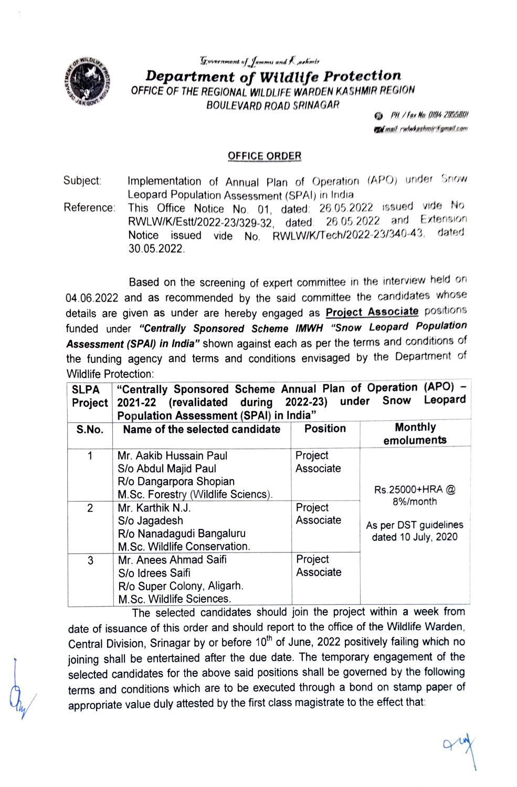

Government of Jammu and Kashmtr Department of Wildlife Protection OFFICE OF THE REGIONAL WILDLIFE WARDEN KASHMIR REGION BOULEVARD ROAD SRINAGAR

**Co** PH / Fax No: 0194-2955801 to mall rwhshashmir Camail.cam

## OFFICE ORDER

Implementation of Annual Plan of Operation (APO) under Snow Subject: Implementation of Annual Plan of Operatio<br>Leopard Population Assessment (SPAI) in India<br>Reference: This Office Notice No. 01 dated: 26.05.2

Reference: This Office Notice No. 01, dated: 26.05.2022 issued vide No.<br>
26.05.2022 and Extension RWLW/K/Estt/2022-23/329-32, dated 26 05.2022 and Extension Notice issued vide No. RWLW/K/Tech/2022-23/340-43, dated: 30.05.2022.

Based on the screening of expert committee in the interview held on 04.06.2022 and as recommended by the said committee the candidates whose details are given as under are hereby engaged as **Project Associate** positions<br>funded under "Centrally Sponsored Scheme IMWH "Snow Leopard Population Assessment (SPAI) in India" shown against each as per the terms and conditions of the funding agency and terms and conditions envisaged by the Department of Wildlife Protection:

| <b>SLPA</b><br>Project | "Centrally Sponsored Scheme Annual Plan of Operation (APO) -<br>Leopard<br>2021-22 (revalidated during 2022-23) under Snow<br><b>Population Assessment (SPAI) in India"</b>    |                                              |                                                                               |
|------------------------|--------------------------------------------------------------------------------------------------------------------------------------------------------------------------------|----------------------------------------------|-------------------------------------------------------------------------------|
| S.No.                  | Name of the selected candidate                                                                                                                                                 | <b>Position</b>                              | Monthly<br>emoluments                                                         |
| 2                      | Mr. Aakib Hussain Paul<br>S/o Abdul Majid Paul<br>R/o Dangarpora Shopian<br>M.Sc. Forestry (Wildlife Sciencs).<br>Mr. Karthik N.J.<br>S/o Jagadesh<br>R/o Nanadagudi Bangaluru | Project<br>Associate<br>Project<br>Associate | Rs.25000+HRA@<br>8%/month<br>As per DST guidelines<br>dated 10 July, 2020<br> |
| 3                      | M.Sc. Wildlife Conservation.<br>Mr. Anees Ahmad Saifi<br>S/o Idrees Saifi<br>R/o Super Colony, Aligarh.<br>M.Sc. Wildlife Sciences.                                            | Project<br>Associate<br>.                    |                                                                               |

The selected candidates should join the project within a week from date of issuance of this order and should report to the office of the Wildlife Warden Central Division, Srinagar by or before 10<sup>th</sup> of June, 2022 positively failing which no joining shall be entertained after the due date. The temporary engagement of the selected candidates for the above said positions shall be governed by the following terms and conditions which are to be executed through a bond on stamp paper of appropriate value duly attested by the first class magistrate to the effect that: